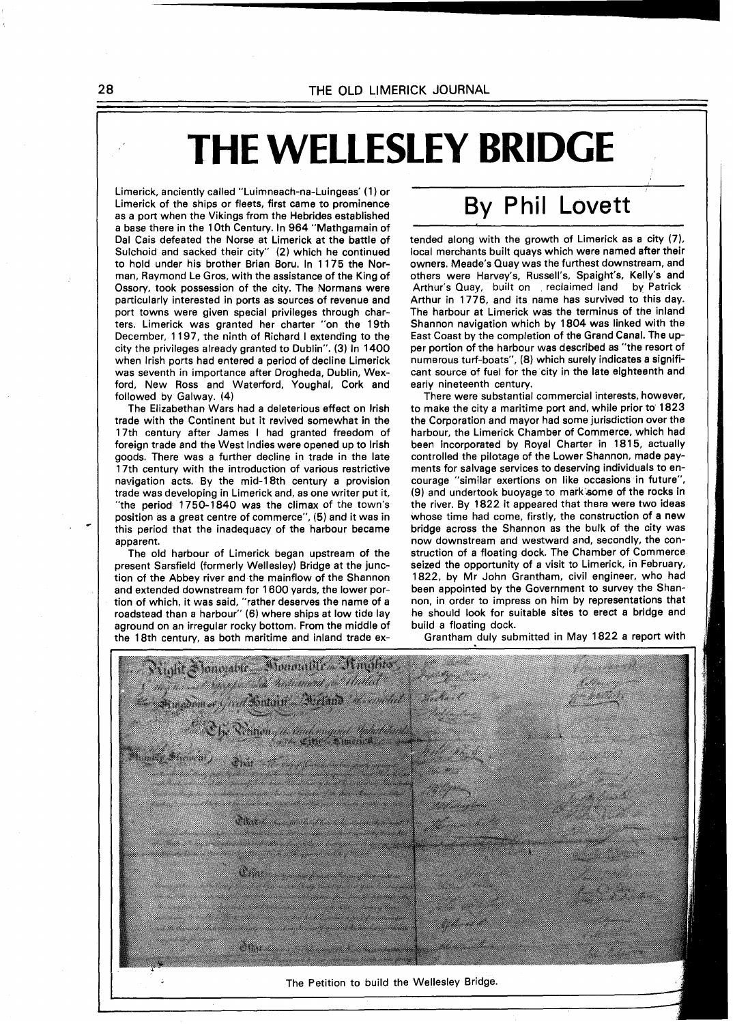# **THE WELLESLEY BRIDGE**

Limerick, anciently called "Luimneach-na-Luingeas' (1) or Limerick of the ships or fleets, first came to prominence as a port when the Vikings from the Hebrides established a base there in the 10th Century. In 964 "Mathgamain of Dal Cais defeated the Norse at Limerick at the battle of Sulchoid and sacked their city" (2) which he continued to hold under his brother Brian Boru. In 1175 the Norman, Raymond Le Gros, with the assistance of the King of Ossory, took possession of the city. The Normans were particularly interested in ports as sources of revenue and port towns were given special privileges through charters. Limerick was granted her charter "on the 19th December, 1 197, the ninth of Richard I extending to the city the privileges already granted to Dublin". (3) In 1400 when lrish ports had entered a period of decline Limerick was seventh in importance after Drogheda, Dublin, Wexford, New Ross and Waterford, Youghal, Cork and followed by Galway. (4)

The Elizabethan Wars had a deleterious effect on lrish trade with the Continent but it revived somewhat in the 17th century after James I had granted freedom of foreign trade and the West lndies were opened up to lrish goods. There was a further decline in trade in the late 17th century with the introduction of various restrictive navigation acts. By the mid-18th century a provision trade was developing in Limerick and, as one writer put it, "the period 1750-1840 was the climax of the town's position as a great centre of commerce", (5) and it was in this period that the inadequacy of the harbour became apparent.

The old harbour of Limerick began upstream of the present Sarsfield (formerly Wellesley) Bridge at the junction of the Abbey river and the mainflow of the Shannon and extended downstream for 1600 yards, the lower portion of which, it was said, "rather deserves the name of a roadstead than a harbour" (6) where ships at low tide lay aground on an irregular rocky bottom. From the middle of the 18th century, as both maritime and inland trade ex-

## **By** Phil Lovett

tended along with the growth of Limerick as a city **(71,**  local merchants built quays which were named after their owners. Meade's Quay was the furthest downstream, and others were Harvey's, Russell's, Spaight's, Kelly's and Arthur's Quay, built on reclaimed land by Patrick Arthur in 1776, and its name has survived to this day. The harbour at Limerick was the terminus of the inland Shannon navigation which by 1804 was linked with the East Coast by the completion of the Grand Canal. The upper portion of the harbour was described as "the resort of numerous turf-boats", (8) which surely indicates a significant source of fuel for the city in the late eighteenth and early nineteenth century.

There were substantial commercial interests, however, to make the city a maritime port and, while prior to 1823 the Corporation and mayor had some jurisdiction over the harbour, the Limerick Chamber of Commerce, which had been incorporated by Royal Charter in 1815, actually controlled the pilotage of the Lower Shannon, made payments for salvage services to deserving individuals to encourage "similar exertions on like occasions in future", (9) and undertook buoyage to mark some of the rocks in the river. By 1822 it appeared that there were two ideas whose time had come, firstly, the construction of a new bridge across the Shannon as the bulk of the city was now downstream and westward and, secondly, the construction of a floating dock. The Chamber of Commerce seized the opportunity of a visit to Limerick, in February, 1822, by Mr John Grantham, civil engineer, who had been appointed by the Government to survey the Shannon, in order to impress on him by representations that he should look for suitable sites to erect a bridge and build a floating dock.

Grantham duly submitted in May 1822 a report with



The Petition to build the Wellesley Bridge.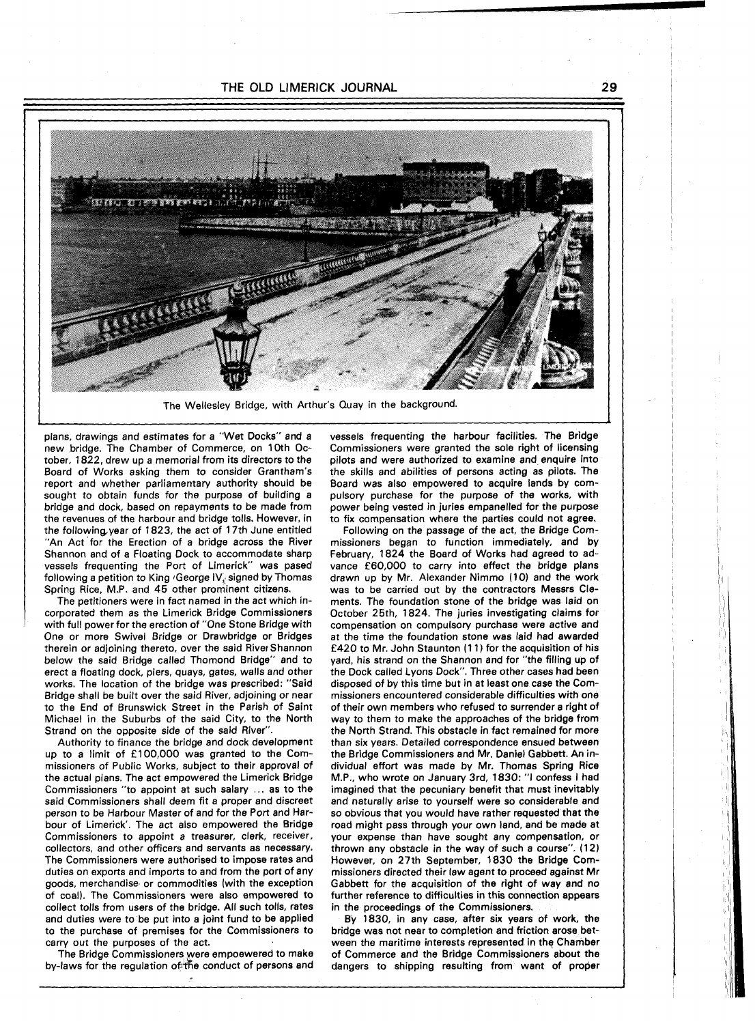### THE OLD LIMERICK JOURNAL **29**



The Wellesley Bridge, with Arthur's Quay in the background.

plans, drawings and estimates for a "Wet Docks" and a new bridge. The Chamber of Commerce, on 10th October, 1822, drew up a memorial from its directors to the Board of Works asking them to consider Grantham's report and whether parliamentary authority should be sought to obtain funds for the purpose of building a bridge and dock, based on repayments to be made from the revenues of the harbour and bridge tolls. However, in the followingyear of 1823, the act of 17th June entitled "An Act'for the Erection of a bridge across the River Shannon and of a Floating Dock to accommodate sharp vessels frequenting the Port of Limerick" was pased following a petition to King (George IV, signed by Thomas Spring Rice, M.P. and 45 other prominent citizens.

The petitioners were in fact named in the act which incorporated them as the Limerick Bridge Commissioners with full power for the erection of "One Stone Bridge with One or more Swivel Bridge or Drawbridge or Bridges therein or adjoining thereto, over the said River Shannon below the said Bridge called Thomond Bridge" and to erect a floating dock, piers, quays, gates, walls and other works. The location of the bridge was prescribed: "Said Bridge shall be built over the said River, adjoining or near to the End of Brunswick Street in the Parish of Saint Michael in the Suburbs of the said City, to the North Strand on the opposite side of the said River".

Authority to finance the bridge and dock development up to a limit of **f** 100,000 was granted to the Commissioners of Public Works, subject to their approval of the actual plans. The act empowered the Limerick Bridge Commissioners "to appoint at such salary ... as to the said Commissioners shall deem fit a proper and discreet person to be Harbour Master of and for the Port and Harbour of Limerick'. The act also empowered the Bridge Commissioners to appoint a treasurer, clerk, receiver, collectors, and other officers and servants as necessary. The Commissioners were authorised to impose rates and duties on exports and imports to and from the port of any goods, merchandise' or commodities (with the exception of caal). The Commissioners were also empowered to collect tolls from users of the bridge. All such tolls, rates and duties were to be put into a joint fund to be applied to the purchase of premises for the Commissioners to carry out the purposes of the act.

The Bridge Commissioners were empoewered to make by-laws for the regulation of the conduct of persons and

vessels frequenting the harbour facilities. The Bridge Commissioners were granted the sole right of licensing pilots and were authorized to examine and enquire into the skills and abilities of persons acting as pilots. The Board was also empowered to acquire lands by compulsory purchase for the purpose of the works, with power being vested in juries empanelled for the purpose to fix compensation where the parties could not agree.

Following on the passage of the act, the Bridge Commissioners began to function immediately, and by February, 1824 the Board of Works had agreed to advance £60,000 to carry into effect the bridge plans drawn up by Mr. Alexander Nimmo (10) and the work was to be carried out by the contractors Messrs Clements. The foundation stone of the bridge was laid on October 25th, 1824. The juries investigating claims for compensation on compulsory purchase were active and at the time the foundation stone was laid had awarded £420 to Mr. John Staunton (11) for the acquisition of his yard, his strand on the Shannon and for "the filling up of the Dock called Lyons Dock". Three other cases had been disposed of by this time but in at least one case the Commissioners encountered considerable difficulties with one of their own members who refused to surrender a right of way to them to make the approaches of the bridge from the North Strand. This obstacle in fact remained for more than six years. Detailed correspondence ensued between the Bridge Commissioners and Mr. Daniel Gabbett. An individual effort was made by Mr. Thomas Spring Rice M.P., who wrote on January 3rd, 1830: "I confess I had imagined that the pecuniary benefit that must inevitably and naturally arise to yourself were so considerable and so obvious that you would have rather requested that the road might pass through your own land, and be made at your expense than have sought any compensation, or thrown any obstacle in the way of such a course". **(12)**  However, on 27th September, 1830 the Bridge Commissioners directed their law agent to proceed against Mr Gabbett for the acquisition of the right of way and no further reference to difficulties in this connection appears in the proceedings of the Commissioners.

By 1830, in any case, after six years of work, the bridge was not near to completion and friction arose between the maritime interests represented in the Chamber of Commerce and the Bridge Commissioners about the dangers to shipping resulting from want of proper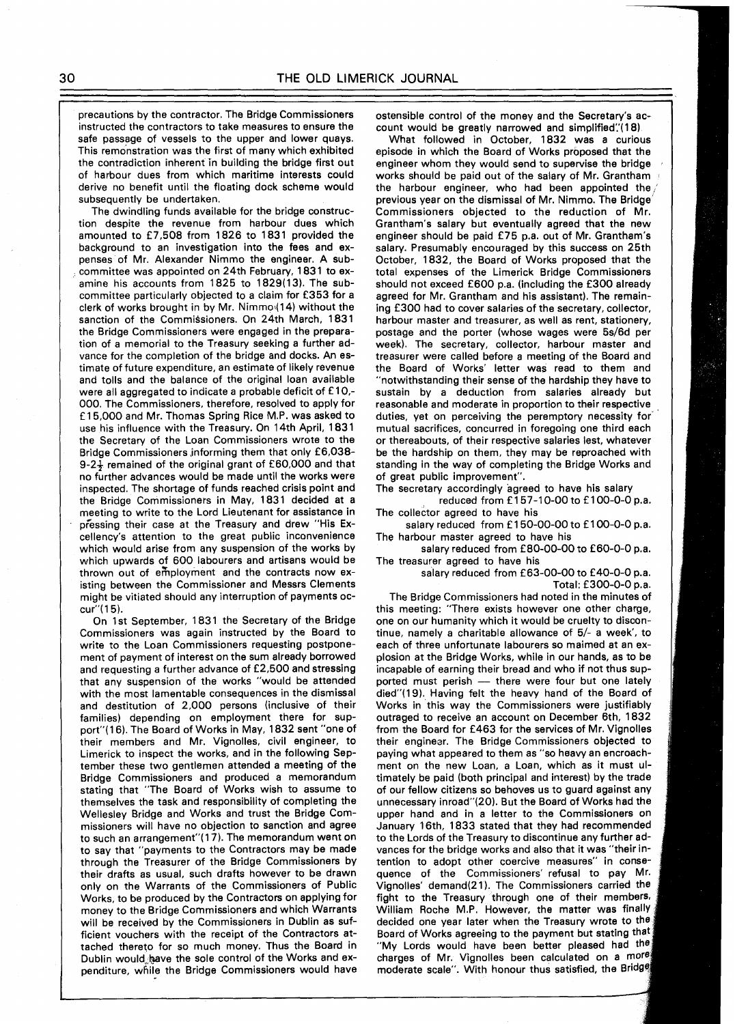precautions by the contractor. The Bridge Commissioners instructed the contractors to take measures to ensure the safe passage of vessels to the upper and lower quays. This remonstration was the first of many which exhibited the contradiction inherent in building the bridge first out of harbour dues from which maritime interests could derive no benefit until the floating dock scheme would subsequently be undertaken.

The dwindling funds available for the bridge construction despite the revenue from harbour dues which amounted to £7,508 from 1826 to 1831 provided the background to an investigation into the fees and expenses of Mr. Alexander Nimmo the engineer. A subcommittee was appointed on 24th February, 1831 to examine his accounts from 1825 to 1829(13). The subcommittee particularly objected to a claim for £353 for a clerk of works brought in by Mr. Nimmo (14) without the sanction of the Commissioners. On 24th March, 1831 the Bridge Commissioners were engaged in the preparation of a memorial to the Treasury seeking a further advance for the completion of the bridge and docks. An estimate of future expenditure, an estimate of likely revenue and tolls and the balance of the original loan available were all aggregated to indicate a probable deficit of £10,-000. The Commissioners, therefore, resolved to apply for f 15,000 and Mr. Thomas Spring Rice M.P. was asked to use his influence with the Treasury. On 14th April, 1831 the Secretary of the Loan Commissioners wrote to the Bridge Commissioners informing them that only £6,038-9-23 remained of the original grant of **f** 60,000 and that no further advances would be made until the works were inspected. The shortage of funds reached crisis point and the Bridge Commissioners in May, 1831 decided at a meeting to write to the Lord Lieutenant for assistance in pressing their case at the Treasury and drew "His Excellency's attention to the great public inconvenience which would arise from any suspension of the works by which upwards of 600 labourers and artisans would be thrown out of employment and the contracts now existing between the Commissioner and Messrs Clements might be vitiated should any interruption of payments occur"(1 **5).** 

On 1st September, 1831 the Secretary of the Bridge Commissioners was again instructed by the Board to write to the Loan Commissioners requesting postponement of payment of interest on the sum already borrowed and requesting a further advance of  $£2,500$  and stressing that any suspension of the works "would be attended with the most lamentable consequences in the dismissal and destitution of 2,000 persons (inclusive of their families) depending on employment there for support"(16). The Board of Works in May, 1832 sent "one of their members and Mr. Vignolles, civil engineer, to Limerick to inspect the works, and in the following September these two gentlemen attended a meeting of the Bridge Commissioners and produced a memorandum stating that "The Board of Works wish to assume to themselves the task and responsibility of completing the Wellesley Bridge and Works and trust the Bridge Commissioners will have no objection to sanction and agree to such an arrangement"(17). The memorandum went on to say that "payments to the Contractors may be made through the Treasurer of the Bridge Commissioners by their drafts as usual, such drafts however to be drawn only on the Warrants of the Commissioners of Public Works, to be produced by the Contractors on applying for money to the Bridge Commissioners and which Warrants will be received by the Commissioners in Dublin as sufficient vouchers with the receipt of the Contractors attached thereto for so much money. Thus the Board in Dublin would, pave the sole control of the Works and expenditure, while the Bridge Commissioners would have

ostensible control of the money and the Secretary's account would be greatly narrowed and simplified" $(18)$ 

What followed in October, 1832 was a curious episode in which the Board of Works proposed that the engineer whom they would send to supervise the bridge works should be paid out of the salary of Mr. Grantham the harbour engineer, who had been appointed the  $/$ previous year on the dismissal of Mr. Nimmo. The Bridge Commissioners objected to the reduction of Mr. Grantham's salary but eventually agreed that the new engineer should be paid £75 p.a. out of Mr. Grantham's salary. Presumably encouraged by this success on 25th October, 1832, the Board of Works proposed that the total expenses of the Limerick Bridge Commissioners should not exceed £600 p.a. (including the £300 already agreed for Mr. Grantham and his assistant). The remaining £300 had to cover salaries of the secretary, collector, harbour master and treasurer, as well as rent, stationery, postage and the porter (whose wages were 5s/6d per week). The secretary, collector, harbour master and treasurer were called before a meeting of the Board and the Board of Works' letter was read to them and "notwithstanding their sense of the hardship they have to sustain by a deduction from salaries already but reasonable and moderate in proportion to their respective duties, yet on perceiving the peremptory necessity for mutual sacrifices, concurred in foregoing one third each or thereabouts, of their respective salaries lest, whatever be the hardship on them, they may be reproached with standing in the way of completing the Bridge Works and of great public improvement".

The secretary accordingly agreed to have his salary

reduced from £157-10-00 to £100-0-0 p.a. The collector agreed to have his

salary reduced from £150-00-00 to £100-0-0 p.a. The harbour master agreed to have his

salary reduced from £80-00-00 to £60-0-0 p.a. The treasurer agreed to have his

salary reduced from £63-00-00 to £40-0-0 p.a. Total: f 300-0-0 p.a.

The Bridge Commissioners had noted in the minutes of this meeting: "There exists however one other charge, one on our humanity which it would be cruelty to discontinue, namely a charitable allowance of 5/- a week', to each of three unfortunate labourers so maimed at an explosion at the Bridge Works, while in our hands, as to be incapable of earning their bread and who if not thus supported must perish - there were four but one lately died"(l9). Having felt the heavy hand of the Board of Works in this way the Commissioners were justifiably outraged to receive an account on December 6th, 1832 from the Board for £463 for the services of Mr. Vignolles their engineer. The Bridge Commissioners objected to paying what appeared to them as "so heavy an encroachment on the new Loan, a Loan, which as it must ultimately be paid (both principal and interest) by the trade<br>of our fellow citizens so behoves us to guard against any unnecessary inroad"(20). But the Board of Works had the upper hand and in a letter to the Commissioners on January 16th, 1833 stated that they had recommended to the Lords of the Treasury to discontinue any further advances for the bridge works and also that it was "their intention to adopt other coercive measures" in consequence of the Commissioners' refusal to pay Mr. Vignolles' demand(21). The Commissioners carried the fight to the Treasury through one of their members, William Roche M.P. However, the matter was finally decided one year later when the Treasury wrote to the Board of Works agreeing to the payment but stating that "My Lords would have been better pleased had the charges of Mr. Vignolles been calculated on a more moderate scale". With honour thus satisfied, the Bridge